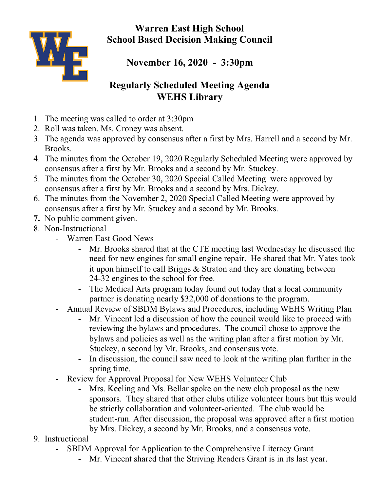**Warren East High School School Based Decision Making Council**



**November 16, 2020 - 3:30pm**

## **Regularly Scheduled Meeting Agenda WEHS Library**

- 1. The meeting was called to order at 3:30pm
- 2. Roll was taken. Ms. Croney was absent.
- 3. The agenda was approved by consensus after a first by Mrs. Harrell and a second by Mr. Brooks.
- 4. The minutes from the October 19, 2020 Regularly Scheduled Meeting were approved by consensus after a first by Mr. Brooks and a second by Mr. Stuckey.
- 5. The minutes from the October 30, 2020 Special Called Meeting were approved by consensus after a first by Mr. Brooks and a second by Mrs. Dickey.
- 6. The minutes from the November 2, 2020 Special Called Meeting were approved by consensus after a first by Mr. Stuckey and a second by Mr. Brooks.
- **7.** No public comment given.
- 8. Non-Instructional
	- Warren East Good News
		- Mr. Brooks shared that at the CTE meeting last Wednesday he discussed the need for new engines for small engine repair. He shared that Mr. Yates took it upon himself to call Briggs & Straton and they are donating between 24-32 engines to the school for free.
		- The Medical Arts program today found out today that a local community partner is donating nearly \$32,000 of donations to the program.
	- Annual Review of SBDM Bylaws and Procedures, including WEHS Writing Plan
		- Mr. Vincent led a discussion of how the council would like to proceed with reviewing the bylaws and procedures. The council chose to approve the bylaws and policies as well as the writing plan after a first motion by Mr. Stuckey, a second by Mr. Brooks, and consensus vote.
		- In discussion, the council saw need to look at the writing plan further in the spring time.
	- Review for Approval Proposal for New WEHS Volunteer Club
		- Mrs. Keeling and Ms. Bellar spoke on the new club proposal as the new sponsors. They shared that other clubs utilize volunteer hours but this would be strictly collaboration and volunteer-oriented. The club would be student-run. After discussion, the proposal was approved after a first motion by Mrs. Dickey, a second by Mr. Brooks, and a consensus vote.
- 9. Instructional
	- SBDM Approval for Application to the Comprehensive Literacy Grant
		- Mr. Vincent shared that the Striving Readers Grant is in its last year.